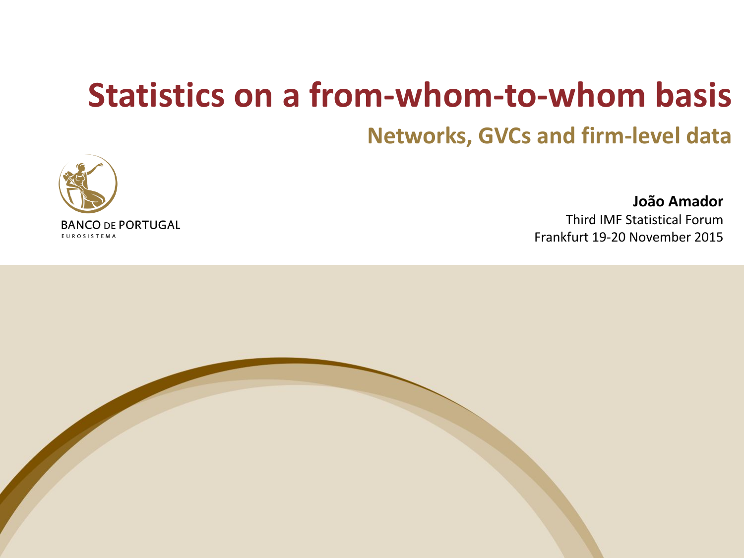### **Statistics on a from-whom-to-whom basis**

#### **Networks, GVCs and firm-level data**



**João Amador** Third IMF Statistical Forum Frankfurt 19-20 November 2015

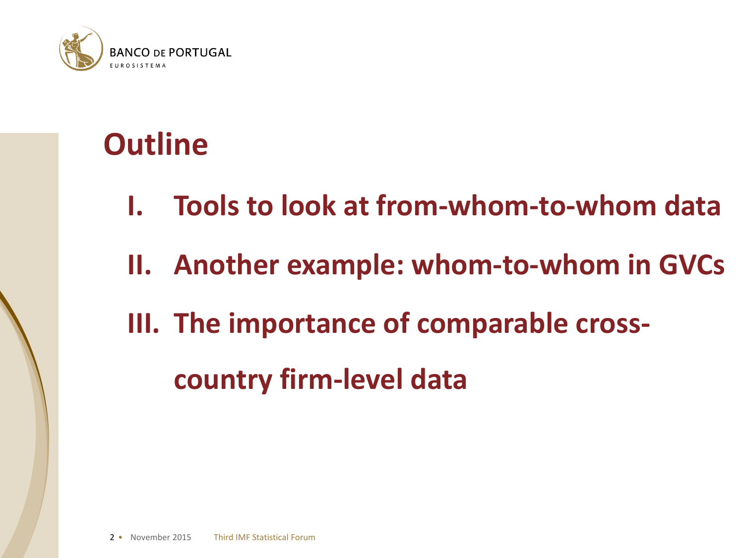

#### **Outline**

- **I. Tools to look at from-whom-to-whom data**
- **II. Another example: whom-to-whom in GVCs**
- **III. The importance of comparable cross**
	- **country firm-level data**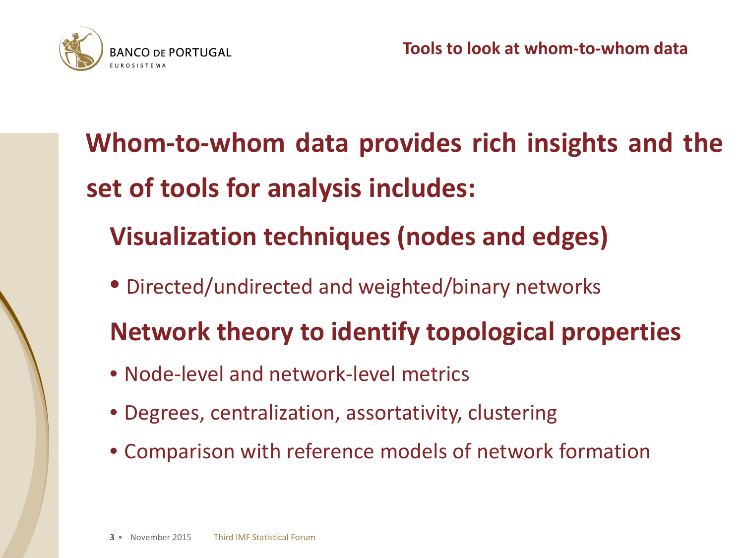

- **Whom-to-whom data provides rich insights and the set of tools for analysis includes:**
	- **Visualization techniques (nodes and edges)**
	- Directed/undirected and weighted/binary networks
	- **Network theory to identify topological properties**
	- Node-level and network-level metrics
	- Degrees, centralization, assortativity, clustering
	- Comparison with reference models of network formation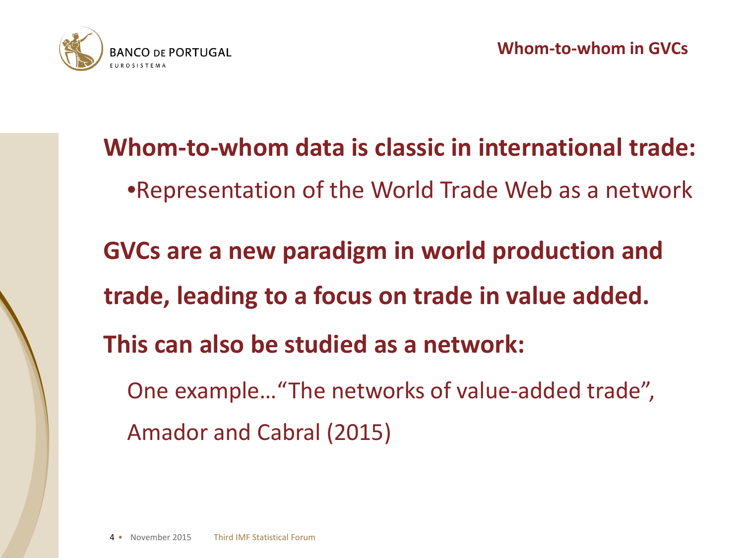

**Whom-to-whom data is classic in international trade:** •Representation of the World Trade Web as a network **GVCs are a new paradigm in world production and trade, leading to a focus on trade in value added. This can also be studied as a network:** One example…"The networks of value-added trade", Amador and Cabral (2015)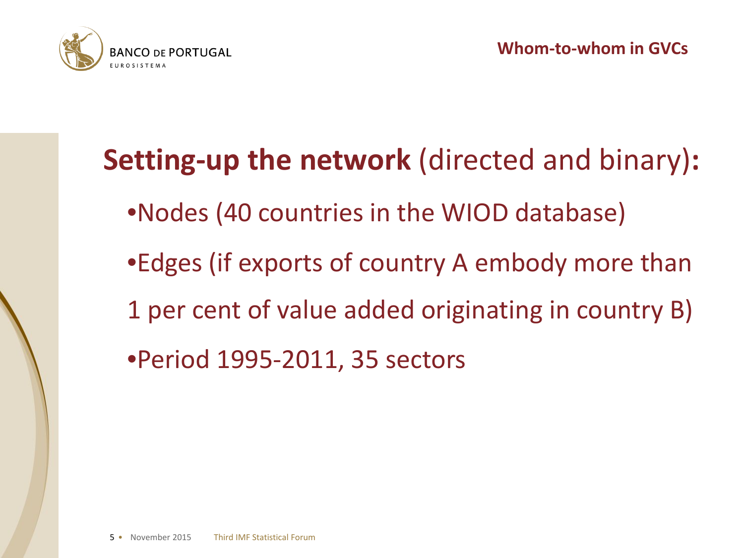

# **Setting-up the network** (directed and binary)**:** •Nodes (40 countries in the WIOD database) •Edges (if exports of country A embody more than 1 per cent of value added originating in country B) •Period 1995-2011, 35 sectors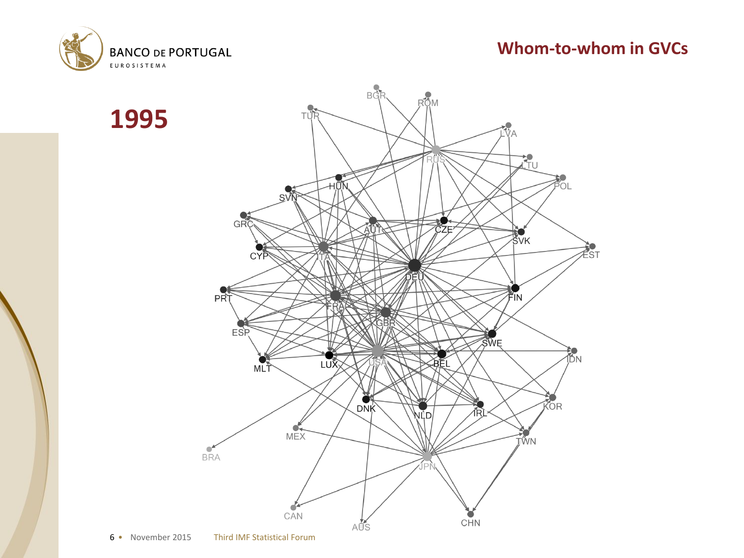

**1995**

#### **Whom-to-whom in GVCs**

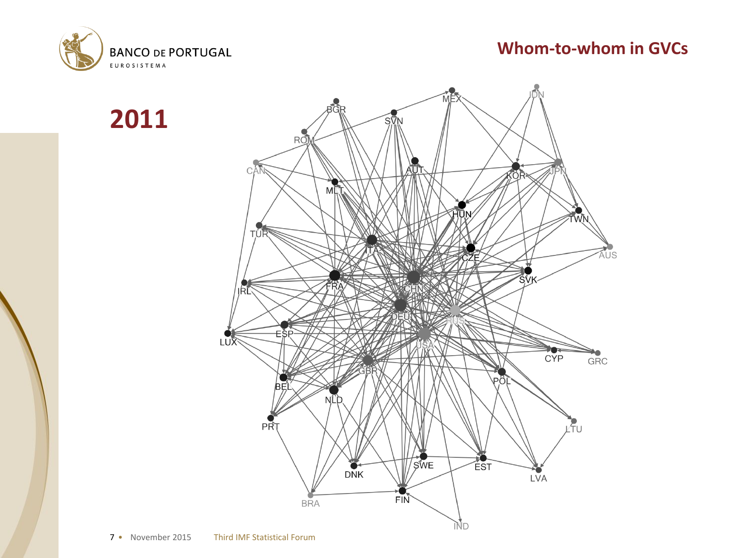



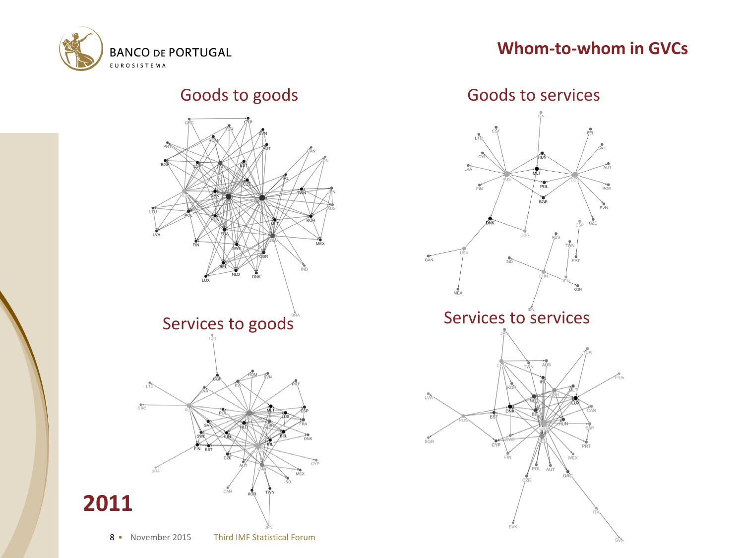

#### **Whom-to-whom in GVCs**



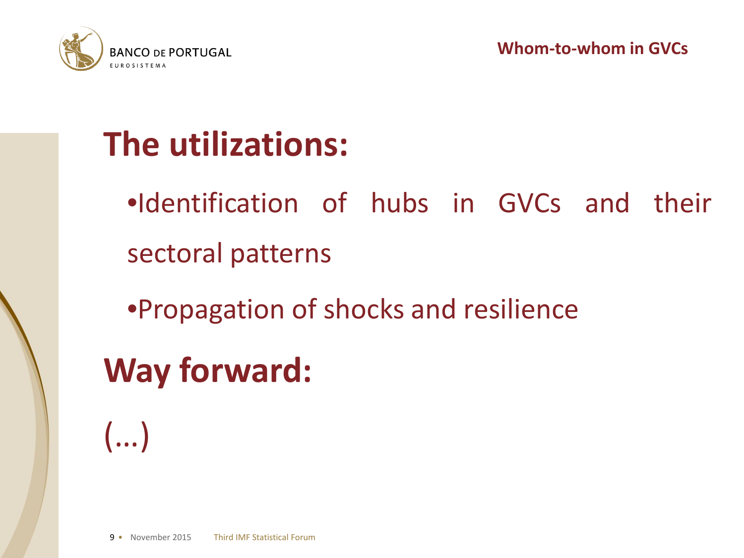



### **The utilizations:**

- •Identification of hubs in GVCs and their sectoral patterns
- •Propagation of shocks and resilience

**Way forward:**

(…)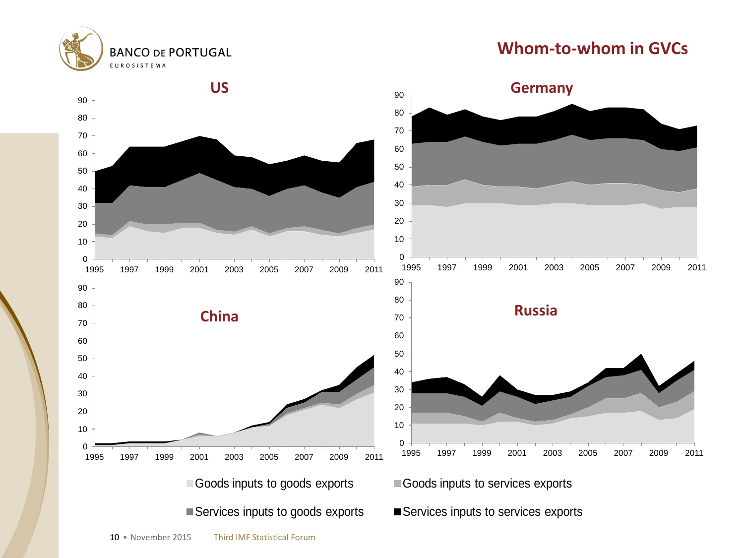



**BANCO DE PORTUGAL**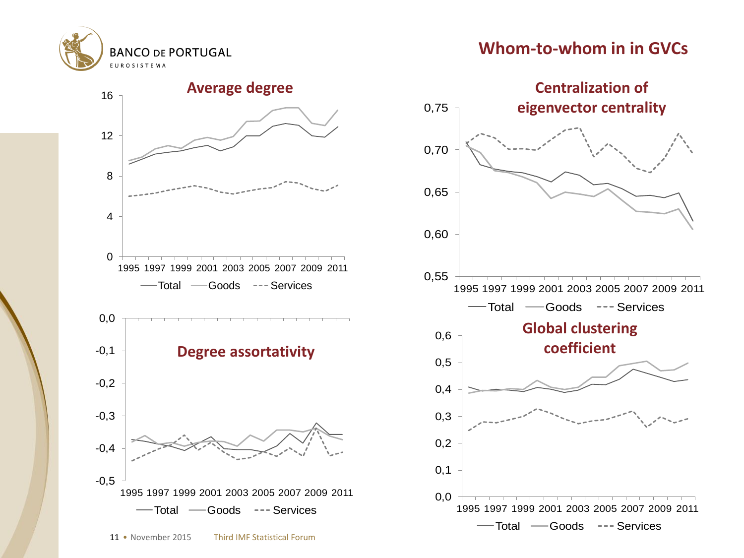

#### **Whom-to-whom in in GVCs**



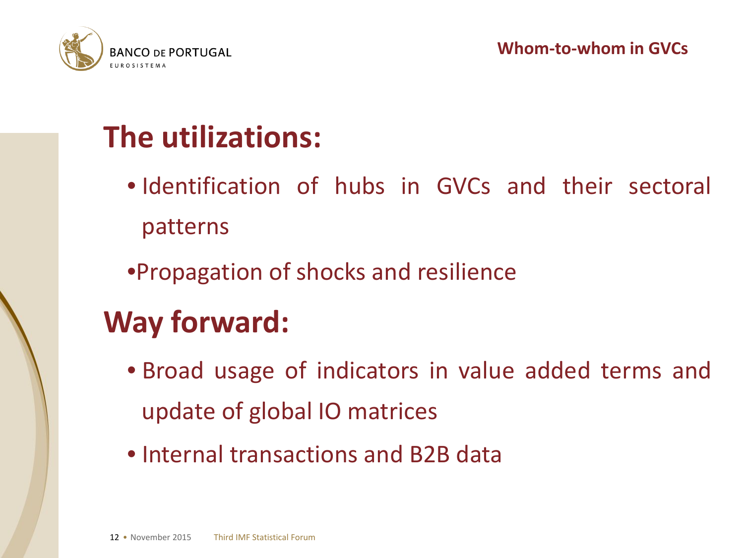

### **The utilizations:**

- Identification of hubs in GVCs and their sectoral patterns
- •Propagation of shocks and resilience

### **Way forward:**

- Broad usage of indicators in value added terms and update of global IO matrices
- Internal transactions and B2B data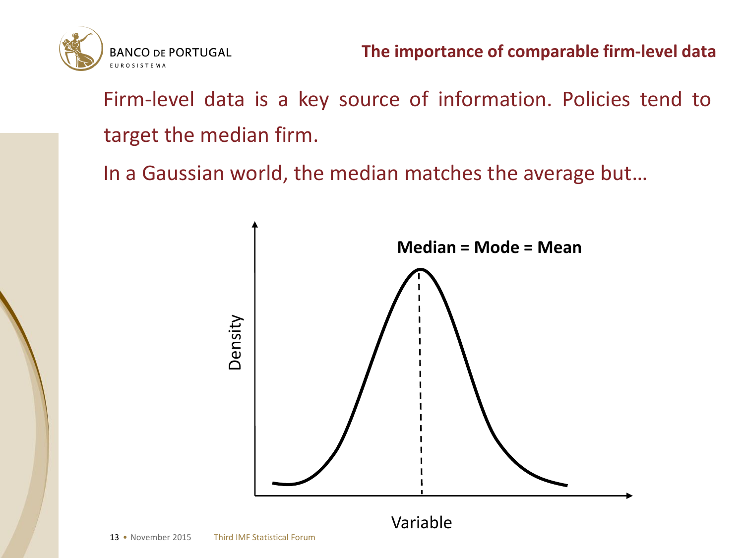

Firm-level data is a key source of information. Policies tend to target the median firm.

In a Gaussian world, the median matches the average but…

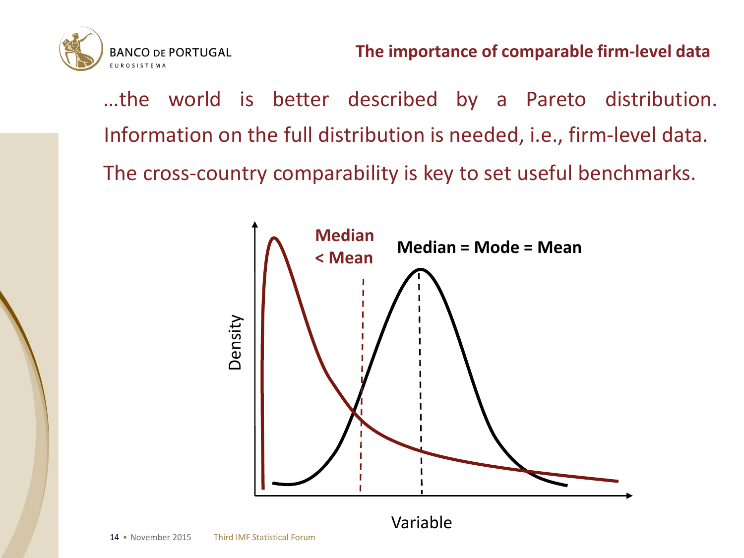**BANCO DE PORTUGAL EUROSISTEMA** 

> …the world is better described by a Pareto distribution. Information on the full distribution is needed, i.e., firm-level data. The cross-country comparability is key to set useful benchmarks.



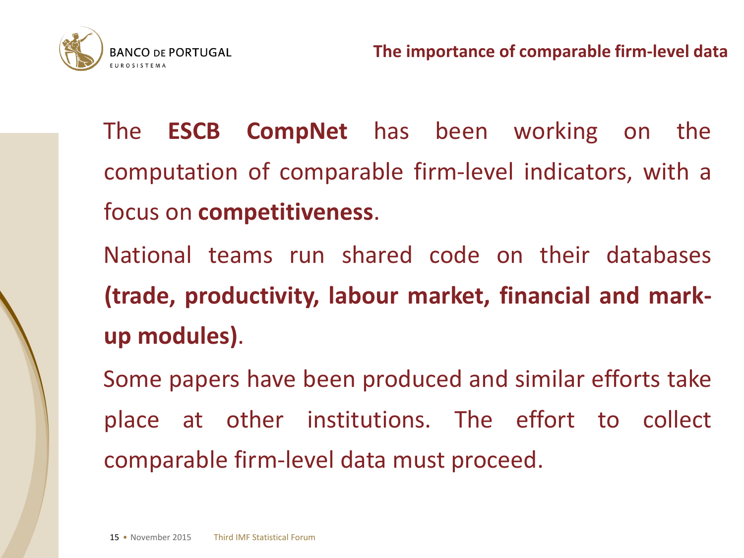

The **ESCB CompNet** has been working on the computation of comparable firm-level indicators, with a focus on **competitiveness**.

National teams run shared code on their databases **(trade, productivity, labour market, financial and markup modules)**.

Some papers have been produced and similar efforts take place at other institutions. The effort to collect comparable firm-level data must proceed.